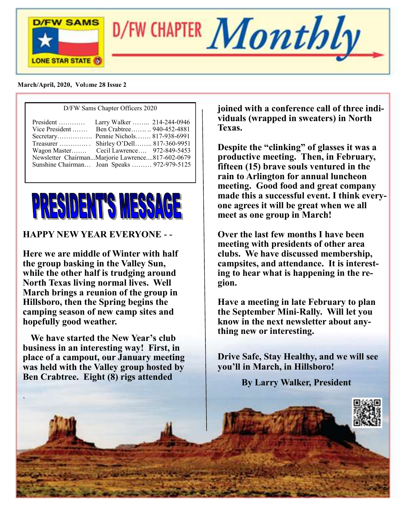



 **March/April, 2020, Vol**u**me 28 Issue 2**

| D/FW Sams Chapter Officers 2020                                                                                                                                                                                              |  |  |
|------------------------------------------------------------------------------------------------------------------------------------------------------------------------------------------------------------------------------|--|--|
| Vice President  Ben Crabtree 940-452-4881<br>Secretary Pennie Nichols 817-938-6991<br>Treasurer  Shirley O'Dell 817-360-9951<br>Wagon Master Cecil Lawrence 972-849-5453<br>Newsletter ChairmanMarjorie Lawrence817-602-0679 |  |  |
| Sunshine Chairman Joan Speaks  972-979-5125                                                                                                                                                                                  |  |  |



#### **HAPPY NEW YEAR EVERYONE - -**

**Here we are middle of Winter with half the group basking in the Valley Sun, while the other half is trudging around North Texas living normal lives. Well March brings a reunion of the group in Hillsboro, then the Spring begins the camping season of new camp sites and hopefully good weather.**

 **We have started the New Year's club business in an interesting way! First, in place of a campout, our January meeting was held with the Valley group hosted by Ben Crabtree. Eight (8) rigs attended**

`

**joined with a conference call of three individuals (wrapped in sweaters) in North Texas.** 

**Despite the "clinking" of glasses it was a productive meeting. Then, in February, fifteen (15) brave souls ventured in the rain to Arlington for annual luncheon meeting. Good food and great company made this a successful event. I think everyone agrees it will be great when we all meet as one group in March!**

**Over the last few months I have been meeting with presidents of other area clubs. We have discussed membership, campsites, and attendance. It is interesting to hear what is happening in the region.**

**Have a meeting in late February to plan the September Mini-Rally. Will let you know in the next newsletter about anything new or interesting.**

**Drive Safe, Stay Healthy, and we will see you'll in March, in Hillsboro!**

**By Larry Walker, President**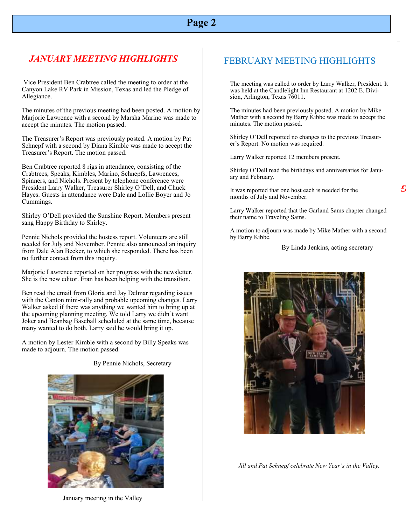#### *JANUARY MEETING HIGHLIGHTS* FEBRUARY MEETING HIGHLIGHTS

Vice President Ben Crabtree called the meeting to order at the Canyon Lake RV Park in Mission, Texas and led the Pledge of Allegiance.

The minutes of the previous meeting had been posted. A motion by Marjorie Lawrence with a second by Marsha Marino was made to accept the minutes. The motion passed.

The Treasurer's Report was previously posted. A motion by Pat Schnepf with a second by Diana Kimble was made to accept the Treasurer's Report. The motion passed.

Ben Crabtree reported 8 rigs in attendance, consisting of the Crabtrees, Speaks, Kimbles, Marino, Schnepfs, Lawrences, Spinners, and Nichols. Present by telephone conference were President Larry Walker, Treasurer Shirley O'Dell, and Chuck Hayes. Guests in attendance were Dale and Lollie Boyer and Jo Cummings.

Shirley O'Dell provided the Sunshine Report. Members present sang Happy Birthday to Shirley.

Pennie Nichols provided the hostess report. Volunteers are still needed for July and November. Pennie also announced an inquiry from Dale Alan Becker, to which she responded. There has been no further contact from this inquiry.

Marjorie Lawrence reported on her progress with the newsletter. She is the new editor. Fran has been helping with the transition.

Ben read the email from Gloria and Jay Delmar regarding issues with the Canton mini-rally and probable upcoming changes. Larry Walker asked if there was anything we wanted him to bring up at the upcoming planning meeting. We told Larry we didn't want Joker and Beanbag Baseball scheduled at the same time, because many wanted to do both. Larry said he would bring it up.

A motion by Lester Kimble with a second by Billy Speaks was made to adjourn. The motion passed.

By Pennie Nichols, Secretary



January meeting in the Valley

The meeting was called to order by Larry Walker, President. It was held at the Candlelight Inn Restaurant at 1202 E. Division, Arlington, Texas 76011.

The minutes had been previously posted. A motion by Mike Mather with a second by Barry Kibbe was made to accept the minutes. The motion passed.

Shirley O'Dell reported no changes to the previous Treasurer's Report. No motion was required.

Larry Walker reported 12 members present.

Shirley O'Dell read the birthdays and anniversaries for January and February.

It was reported that one host each is needed for the months of July and November.

Larry Walker reported that the Garland Sams chapter changed their name to Traveling Sams.

A motion to adjourn was made by Mike Mather with a second by Barry Kibbe.

By Linda Jenkins, acting secretary



 *Jill and Pat Schnepf celebrate New Year's in the Valley.*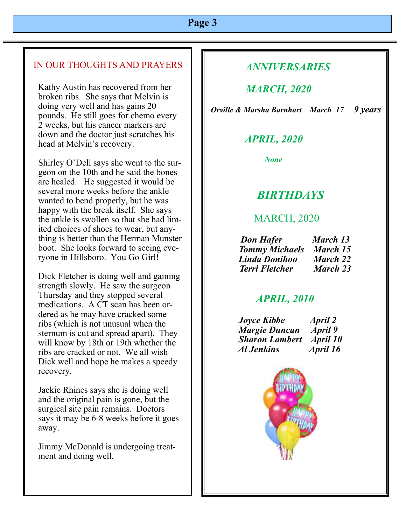#### IN OUR THOUGHTS AND PRAYERS

Kathy Austin has recovered from her broken ribs. She says that Melvin is doing very well and has gains 20 pounds. He still goes for chemo every 2 weeks, but his cancer markers are down and the doctor just scratches his head at Melvin's recovery.

Shirley O'Dell says she went to the surgeon on the 10th and he said the bones are healed. He suggested it would be several more weeks before the ankle wanted to bend properly, but he was happy with the break itself. She says the ankle is swollen so that she had limited choices of shoes to wear, but anything is better than the Herman Munster boot. She looks forward to seeing everyone in Hillsboro. You Go Girl!

Dick Fletcher is doing well and gaining strength slowly. He saw the surgeon Thursday and they stopped several medications. A CT scan has been ordered as he may have cracked some ribs (which is not unusual when the sternum is cut and spread apart). They will know by 18th or 19th whether the ribs are cracked or not. We all wish Dick well and hope he makes a speedy recovery.

Jackie Rhines says she is doing well and the original pain is gone, but the surgical site pain remains. Doctors says it may be 6-8 weeks before it goes away.

Jimmy McDonald is undergoing treatment and doing well.

### *ANNIVERSARIES*

# *MARCH, 2020*

 *Orville & Marsha Barnhart March 17 9 years*

# *APRIL, 2020*

 *None* 

# *BIRTHDAYS*

### MARCH, 2020

| <b>Don Hafer</b>      | March 13 |
|-----------------------|----------|
| <b>Tommy Michaels</b> | March 15 |
| Linda Donihoo         | March 22 |
| <b>Terri Fletcher</b> | March 23 |

#### *APRIL, 2010*

 *Joyce Kibbe April 2 Margie Duncan April 9 Sharon Lambert April 10 Al Jenkins April 16*

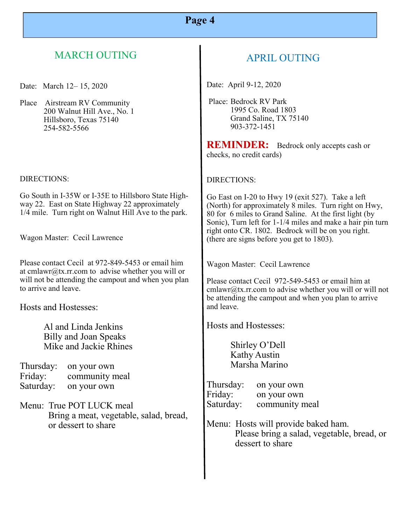# MARCH OUTING

Date: March 12– 15, 2020

Place Airstream RV Community 200 Walnut Hill Ave., No. 1 Hillsboro, Texas 75140 254-582-5566

#### DIRECTIONS:

Go South in I-35W or I-35E to Hillsboro State Highway 22. East on State Highway 22 approximately 1/4 mile. Turn right on Walnut Hill Ave to the park.

Wagon Master: Cecil Lawrence

Please contact Cecil at 972-849-5453 or email him at cmlawr@tx.rr.com to advise whether you will or will not be attending the campout and when you plan to arrive and leave.

Hosts and Hostesses:

Al and Linda Jenkins Billy and Joan Speaks Mike and Jackie Rhines

| Thursday: | on your own    |
|-----------|----------------|
| Friday:   | community meal |
| Saturday: | on your own    |

Menu: True POT LUCK meal Bring a meat, vegetable, salad, bread, or dessert to share

# APRIL OUTING

Date: April 9-12, 2020

Place: Bedrock RV Park 1995 Co. Road 1803 Grand Saline, TX 75140 903-372-1451

**REMINDER:** Bedrock only accepts cash or checks, no credit cards)

#### DIRECTIONS:

Go East on I-20 to Hwy 19 (exit 527). Take a left (North) for approximately 8 miles. Turn right on Hwy, 80 for 6 miles to Grand Saline. At the first light (by Sonic), Turn left for 1-1/4 miles and make a hair pin turn right onto CR. 1802. Bedrock will be on you right. (there are signs before you get to 1803).

Wagon Master: Cecil Lawrence

Please contact Cecil 972-549-5453 or email him at  $cmlawr@tx.rr.com$  to advise whether you will or will not be attending the campout and when you plan to arrive and leave.

Hosts and Hostesses:

Shirley O'Dell Kathy Austin Marsha Marino

Thursday: on your own Friday: on your own Saturday: community meal

Menu: Hosts will provide baked ham. Please bring a salad, vegetable, bread, or dessert to share